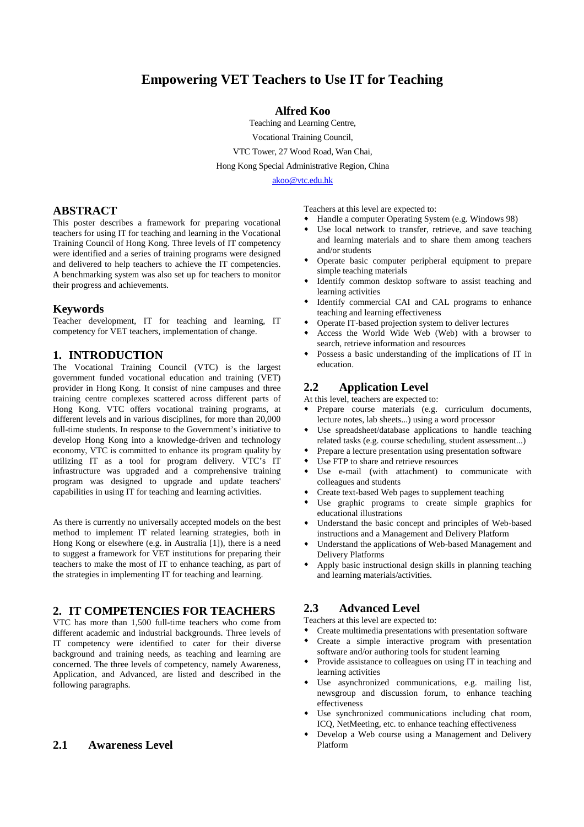# **Empowering VET Teachers to Use IT for Teaching**

#### **Alfred Koo**

Teaching and Learning Centre, Vocational Training Council, VTC Tower, 27 Wood Road, Wan Chai, Hong Kong Special Administrative Region, China

akoo@vtc.edu.hk

#### **ABSTRACT**

This poster describes a framework for preparing vocational teachers for using IT for teaching and learning in the Vocational Training Council of Hong Kong. Three levels of IT competency were identified and a series of training programs were designed and delivered to help teachers to achieve the IT competencies. A benchmarking system was also set up for teachers to monitor their progress and achievements.

#### **Keywords**

Teacher development, IT for teaching and learning, IT competency for VET teachers, implementation of change.

#### **1. INTRODUCTION**

The Vocational Training Council (VTC) is the largest government funded vocational education and training (VET) provider in Hong Kong. It consist of nine campuses and three training centre complexes scattered across different parts of Hong Kong. VTC offers vocational training programs, at different levels and in various disciplines, for more than 20,000 full-time students. In response to the Government's initiative to develop Hong Kong into a knowledge-driven and technology economy, VTC is committed to enhance its program quality by utilizing IT as a tool for program delivery. VTC's IT infrastructure was upgraded and a comprehensive training program was designed to upgrade and update teachers' capabilities in using IT for teaching and learning activities.

As there is currently no universally accepted models on the best method to implement IT related learning strategies, both in Hong Kong or elsewhere (e.g. in Australia [1]), there is a need to suggest a framework for VET institutions for preparing their teachers to make the most of IT to enhance teaching, as part of the strategies in implementing IT for teaching and learning.

# **2. IT COMPETENCIES FOR TEACHERS**

VTC has more than 1,500 full-time teachers who come from different academic and industrial backgrounds. Three levels of IT competency were identified to cater for their diverse background and training needs, as teaching and learning are concerned. The three levels of competency, namely Awareness, Application, and Advanced, are listed and described in the following paragraphs.

#### **2.1 Awareness Level**

Teachers at this level are expected to:

- Handle a computer Operating System (e.g. Windows 98)
- Use local network to transfer, retrieve, and save teaching and learning materials and to share them among teachers and/or students
- Operate basic computer peripheral equipment to prepare simple teaching materials
- Identify common desktop software to assist teaching and learning activities
- $\bullet$  Identify commercial CAI and CAL programs to enhance teaching and learning effectiveness
- Operate IT-based projection system to deliver lectures
- Access the World Wide Web (Web) with a browser to search, retrieve information and resources
- Possess a basic understanding of the implications of IT in education.

#### **2.2 Application Level**

At this level, teachers are expected to:

- Prepare course materials (e.g. curriculum documents, lecture notes, lab sheets...) using a word processor
- Use spreadsheet/database applications to handle teaching related tasks (e.g. course scheduling, student assessment...)
- Prepare a lecture presentation using presentation software
- Use FTP to share and retrieve resources
- Use e-mail (with attachment) to communicate with colleagues and students
- Create text-based Web pages to supplement teaching
- Use graphic programs to create simple graphics for educational illustrations
- Understand the basic concept and principles of Web-based instructions and a Management and Delivery Platform
- Understand the applications of Web-based Management and Delivery Platforms
- Apply basic instructional design skills in planning teaching and learning materials/activities.

#### **2.3 Advanced Level**

Teachers at this level are expected to:

- Create multimedia presentations with presentation software
- Create a simple interactive program with presentation software and/or authoring tools for student learning
- Provide assistance to colleagues on using IT in teaching and learning activities
- Use asynchronized communications, e.g. mailing list, newsgroup and discussion forum, to enhance teaching effectiveness
- Use synchronized communications including chat room, ICQ, NetMeeting, etc. to enhance teaching effectiveness
- Develop a Web course using a Management and Delivery Platform